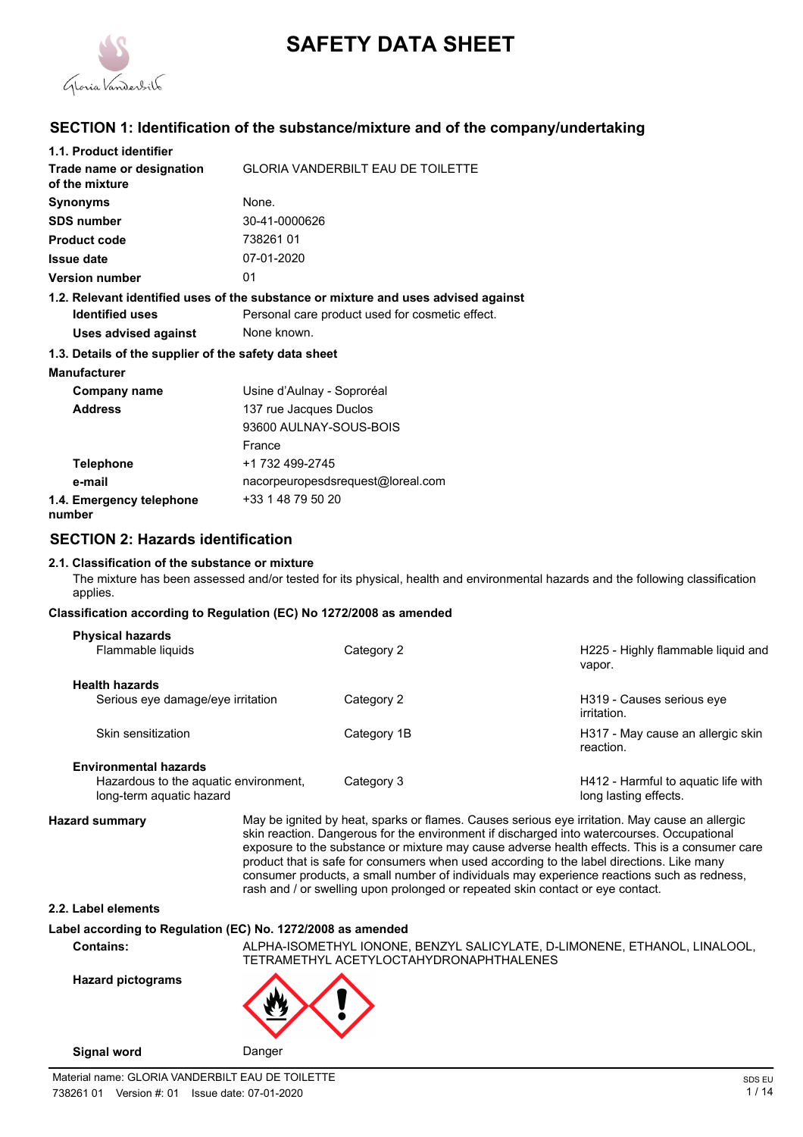

# **SAFETY DATA SHEET**

# **SECTION 1: Identification of the substance/mixture and of the company/undertaking**

| 1.1. Product identifier                               |                                                                                    |
|-------------------------------------------------------|------------------------------------------------------------------------------------|
| Trade name or designation<br>of the mixture           | <b>GLORIA VANDERBILT EAU DE TOILETTE</b>                                           |
| <b>Synonyms</b>                                       | None.                                                                              |
| <b>SDS number</b>                                     | 30-41-0000626                                                                      |
| <b>Product code</b>                                   | 73826101                                                                           |
| <b>Issue date</b>                                     | 07-01-2020                                                                         |
| <b>Version number</b>                                 | 01                                                                                 |
|                                                       | 1.2. Relevant identified uses of the substance or mixture and uses advised against |
| <b>Identified uses</b>                                | Personal care product used for cosmetic effect.                                    |
| <b>Uses advised against</b>                           | None known.                                                                        |
| 1.3. Details of the supplier of the safety data sheet |                                                                                    |
| <b>Manufacturer</b>                                   |                                                                                    |
| Company name                                          | Usine d'Aulnay - Soproréal                                                         |
| <b>Address</b>                                        | 137 rue Jacques Duclos                                                             |
|                                                       | 93600 AULNAY-SOUS-BOIS                                                             |
|                                                       | France                                                                             |
| <b>Telephone</b>                                      | +1 732 499-2745                                                                    |
| e-mail                                                | nacorpeuropesdsrequest@loreal.com                                                  |
| 1.4. Emergency telephone<br>number                    | +33 1 48 79 50 20                                                                  |

# **SECTION 2: Hazards identification**

# **2.1. Classification of the substance or mixture**

The mixture has been assessed and/or tested for its physical, health and environmental hazards and the following classification applies.

# **Classification according to Regulation (EC) No 1272/2008 as amended**

| <b>Physical hazards</b><br>Flammable liquids                      | Category 2  | H225 - Highly flammable liquid and<br>vapor.                 |
|-------------------------------------------------------------------|-------------|--------------------------------------------------------------|
| <b>Health hazards</b>                                             |             |                                                              |
| Serious eye damage/eye irritation                                 | Category 2  | H319 - Causes serious eye<br>irritation.                     |
| Skin sensitization                                                | Category 1B | H317 - May cause an allergic skin<br>reaction.               |
| <b>Environmental hazards</b>                                      |             |                                                              |
| Hazardous to the aquatic environment,<br>long-term aquatic hazard | Category 3  | H412 - Harmful to aquatic life with<br>long lasting effects. |

**Hazard summary** May be ignited by heat, sparks or flames. Causes serious eye irritation. May cause an allergic skin reaction. Dangerous for the environment if discharged into watercourses. Occupational exposure to the substance or mixture may cause adverse health effects. This is a consumer care product that is safe for consumers when used according to the label directions. Like many consumer products, a small number of individuals may experience reactions such as redness, rash and / or swelling upon prolonged or repeated skin contact or eye contact.

# **2.2. Label elements**

# **Label according to Regulation (EC) No. 1272/2008 as amended**

**Contains:** ALPHA-ISOMETHYL IONONE, BENZYL SALICYLATE, D-LIMONENE, ETHANOL, LINALOOL, TETRAMETHYL ACETYLOCTAHYDRONAPHTHALENES

**Hazard pictograms**

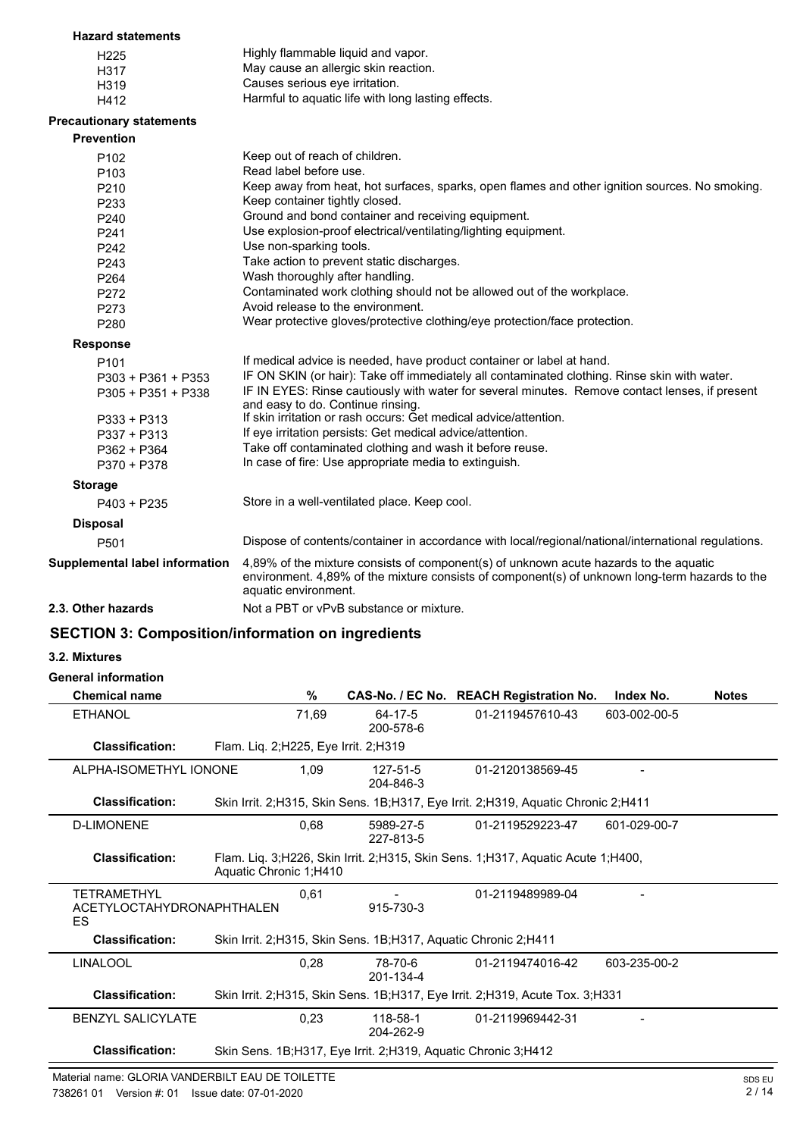### **Hazard statements**

| H <sub>225</sub> | Highly flammable liquid and vapor.                 |
|------------------|----------------------------------------------------|
| H317             | May cause an allergic skin reaction.               |
| H319             | Causes serious eye irritation.                     |
| H412             | Harmful to aquatic life with long lasting effects. |

# **Precautionary statements**

| <b>Prevention</b>              |                                                                                                                                                                                                                 |
|--------------------------------|-----------------------------------------------------------------------------------------------------------------------------------------------------------------------------------------------------------------|
| P <sub>102</sub>               | Keep out of reach of children.                                                                                                                                                                                  |
| P <sub>103</sub>               | Read label before use.                                                                                                                                                                                          |
| P <sub>210</sub>               | Keep away from heat, hot surfaces, sparks, open flames and other ignition sources. No smoking.                                                                                                                  |
| P233                           | Keep container tightly closed.                                                                                                                                                                                  |
| P <sub>240</sub>               | Ground and bond container and receiving equipment.                                                                                                                                                              |
| P241                           | Use explosion-proof electrical/ventilating/lighting equipment.                                                                                                                                                  |
| P <sub>242</sub>               | Use non-sparking tools.                                                                                                                                                                                         |
| P243                           | Take action to prevent static discharges.                                                                                                                                                                       |
| P <sub>264</sub>               | Wash thoroughly after handling.                                                                                                                                                                                 |
| P272                           | Contaminated work clothing should not be allowed out of the workplace.                                                                                                                                          |
| P273                           | Avoid release to the environment.                                                                                                                                                                               |
| P <sub>280</sub>               | Wear protective gloves/protective clothing/eye protection/face protection.                                                                                                                                      |
| <b>Response</b>                |                                                                                                                                                                                                                 |
| P <sub>101</sub>               | If medical advice is needed, have product container or label at hand.                                                                                                                                           |
| $P303 + P361 + P353$           | IF ON SKIN (or hair): Take off immediately all contaminated clothing. Rinse skin with water.                                                                                                                    |
| P305 + P351 + P338             | IF IN EYES: Rinse cautiously with water for several minutes. Remove contact lenses, if present<br>and easy to do. Continue rinsing.                                                                             |
| $P333 + P313$                  | If skin irritation or rash occurs: Get medical advice/attention.                                                                                                                                                |
| P337 + P313                    | If eye irritation persists: Get medical advice/attention.                                                                                                                                                       |
| $P362 + P364$                  | Take off contaminated clothing and wash it before reuse.                                                                                                                                                        |
| P370 + P378                    | In case of fire: Use appropriate media to extinguish.                                                                                                                                                           |
| <b>Storage</b>                 |                                                                                                                                                                                                                 |
| $P403 + P235$                  | Store in a well-ventilated place. Keep cool.                                                                                                                                                                    |
| <b>Disposal</b>                |                                                                                                                                                                                                                 |
| P <sub>501</sub>               | Dispose of contents/container in accordance with local/regional/national/international regulations.                                                                                                             |
| Supplemental label information | 4,89% of the mixture consists of component(s) of unknown acute hazards to the aquatic<br>environment. 4,89% of the mixture consists of component(s) of unknown long-term hazards to the<br>aquatic environment. |
| 2.3. Other hazards             | Not a PBT or vPvB substance or mixture.                                                                                                                                                                         |
|                                |                                                                                                                                                                                                                 |

# **SECTION 3: Composition/information on ingredients**

# **3.2. Mixtures**

# **General information**

| <b>Chemical name</b>                                  | %                                                                 |                        | CAS-No. / EC No. REACH Registration No.                                           | Index No.    | <b>Notes</b> |
|-------------------------------------------------------|-------------------------------------------------------------------|------------------------|-----------------------------------------------------------------------------------|--------------|--------------|
| <b>ETHANOL</b>                                        | 71,69                                                             | 64-17-5<br>200-578-6   | 01-2119457610-43                                                                  | 603-002-00-5 |              |
| <b>Classification:</b>                                | Flam. Liq. 2; H225, Eye Irrit. 2; H319                            |                        |                                                                                   |              |              |
| ALPHA-ISOMETHYL IONONE                                | 1,09                                                              | 127-51-5<br>204-846-3  | 01-2120138569-45                                                                  |              |              |
| <b>Classification:</b>                                |                                                                   |                        | Skin Irrit. 2;H315, Skin Sens. 1B;H317, Eye Irrit. 2;H319, Aquatic Chronic 2;H411 |              |              |
| <b>D-LIMONENE</b>                                     | 0.68                                                              | 5989-27-5<br>227-813-5 | 01-2119529223-47                                                                  | 601-029-00-7 |              |
| <b>Classification:</b>                                | Aquatic Chronic 1;H410                                            |                        | Flam. Lig. 3;H226, Skin Irrit. 2;H315, Skin Sens. 1;H317, Aquatic Acute 1;H400,   |              |              |
| <b>TETRAMETHYL</b><br>ACETYLOCTAHYDRONAPHTHALEN<br>ES | 0,61                                                              | 915-730-3              | 01-2119489989-04                                                                  |              |              |
| <b>Classification:</b>                                | Skin Irrit. 2; H315, Skin Sens. 1B; H317, Aquatic Chronic 2; H411 |                        |                                                                                   |              |              |
| <b>LINALOOL</b>                                       | 0,28                                                              | 78-70-6<br>201-134-4   | 01-2119474016-42                                                                  | 603-235-00-2 |              |
| <b>Classification:</b>                                |                                                                   |                        | Skin Irrit. 2; H315, Skin Sens. 1B; H317, Eye Irrit. 2; H319, Acute Tox. 3; H331  |              |              |
| <b>BENZYL SALICYLATE</b>                              | 0,23                                                              | 118-58-1<br>204-262-9  | 01-2119969442-31                                                                  |              |              |
| <b>Classification:</b>                                | Skin Sens. 1B;H317, Eye Irrit. 2;H319, Aquatic Chronic 3;H412     |                        |                                                                                   |              |              |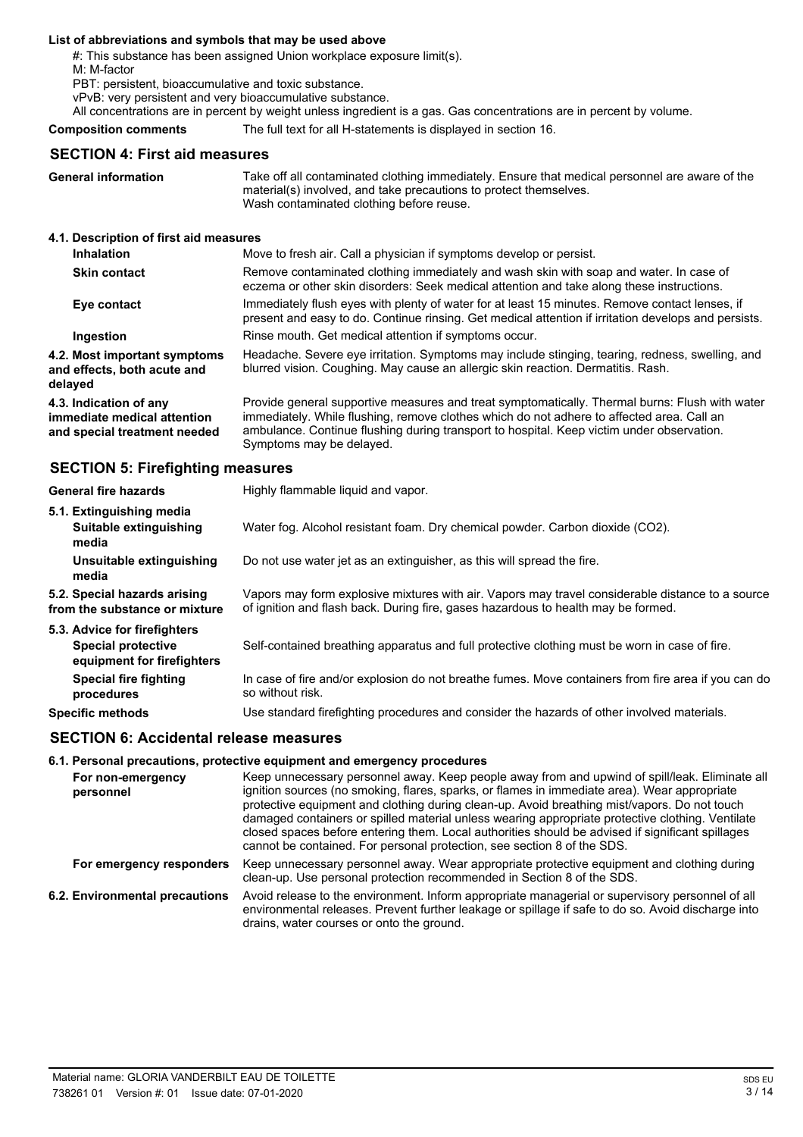### **List of abbreviations and symbols that may be used above**

#: This substance has been assigned Union workplace exposure limit(s).

M: M-factor

PBT: persistent, bioaccumulative and toxic substance.

vPvB: very persistent and very bioaccumulative substance.

All concentrations are in percent by weight unless ingredient is a gas. Gas concentrations are in percent by volume.

#### **Composition comments** The full text for all H-statements is displayed in section 16.

**General information**

**delayed**

# **SECTION 4: First aid measures**

Take off all contaminated clothing immediately. Ensure that medical personnel are aware of the material(s) involved, and take precautions to protect themselves. Wash contaminated clothing before reuse.

#### **4.1. Description of first aid measures**

| <b>Inhalation</b>                                                                     | Move to fresh air. Call a physician if symptoms develop or persist.                                                                                                                                                                                                                                                  |
|---------------------------------------------------------------------------------------|----------------------------------------------------------------------------------------------------------------------------------------------------------------------------------------------------------------------------------------------------------------------------------------------------------------------|
| <b>Skin contact</b>                                                                   | Remove contaminated clothing immediately and wash skin with soap and water. In case of<br>eczema or other skin disorders: Seek medical attention and take along these instructions.                                                                                                                                  |
| Eye contact                                                                           | Immediately flush eyes with plenty of water for at least 15 minutes. Remove contact lenses, if<br>present and easy to do. Continue rinsing. Get medical attention if irritation develops and persists.                                                                                                               |
| Ingestion                                                                             | Rinse mouth. Get medical attention if symptoms occur.                                                                                                                                                                                                                                                                |
| 4.2. Most important symptoms<br>and effects, both acute and<br>delaved                | Headache. Severe eye irritation. Symptoms may include stinging, tearing, redness, swelling, and<br>blurred vision. Coughing. May cause an allergic skin reaction. Dermatitis. Rash.                                                                                                                                  |
| 4.3. Indication of any<br>immediate medical attention<br>and special treatment needed | Provide general supportive measures and treat symptomatically. Thermal burns: Flush with water<br>immediately. While flushing, remove clothes which do not adhere to affected area. Call an<br>ambulance. Continue flushing during transport to hospital. Keep victim under observation.<br>Symptoms may be delayed. |

# **SECTION 5: Firefighting measures**

| <b>General fire hazards</b>                                                             | Highly flammable liquid and vapor.                                                                                                                                                    |
|-----------------------------------------------------------------------------------------|---------------------------------------------------------------------------------------------------------------------------------------------------------------------------------------|
| 5.1. Extinguishing media<br>Suitable extinguishing<br>media                             | Water fog. Alcohol resistant foam. Dry chemical powder. Carbon dioxide (CO2).                                                                                                         |
| Unsuitable extinguishing<br>media                                                       | Do not use water jet as an extinguisher, as this will spread the fire.                                                                                                                |
| 5.2. Special hazards arising<br>from the substance or mixture                           | Vapors may form explosive mixtures with air. Vapors may travel considerable distance to a source<br>of ignition and flash back. During fire, gases hazardous to health may be formed. |
| 5.3. Advice for firefighters<br><b>Special protective</b><br>equipment for firefighters | Self-contained breathing apparatus and full protective clothing must be worn in case of fire.                                                                                         |
| <b>Special fire fighting</b><br>procedures                                              | In case of fire and/or explosion do not breathe fumes. Move containers from fire area if you can do<br>so without risk.                                                               |
| <b>Specific methods</b>                                                                 | Use standard firefighting procedures and consider the hazards of other involved materials.                                                                                            |

# **SECTION 6: Accidental release measures**

#### **6.1. Personal precautions, protective equipment and emergency procedures**

| For non-emergency<br>personnel | Keep unnecessary personnel away. Keep people away from and upwind of spill/leak. Eliminate all<br>ignition sources (no smoking, flares, sparks, or flames in immediate area). Wear appropriate<br>protective equipment and clothing during clean-up. Avoid breathing mist/vapors. Do not touch<br>damaged containers or spilled material unless wearing appropriate protective clothing. Ventilate<br>closed spaces before entering them. Local authorities should be advised if significant spillages<br>cannot be contained. For personal protection, see section 8 of the SDS. |
|--------------------------------|-----------------------------------------------------------------------------------------------------------------------------------------------------------------------------------------------------------------------------------------------------------------------------------------------------------------------------------------------------------------------------------------------------------------------------------------------------------------------------------------------------------------------------------------------------------------------------------|
| For emergency responders       | Keep unnecessary personnel away. Wear appropriate protective equipment and clothing during<br>clean-up. Use personal protection recommended in Section 8 of the SDS.                                                                                                                                                                                                                                                                                                                                                                                                              |
| 6.2. Environmental precautions | Avoid release to the environment. Inform appropriate managerial or supervisory personnel of all<br>environmental releases. Prevent further leakage or spillage if safe to do so. Avoid discharge into<br>drains, water courses or onto the ground.                                                                                                                                                                                                                                                                                                                                |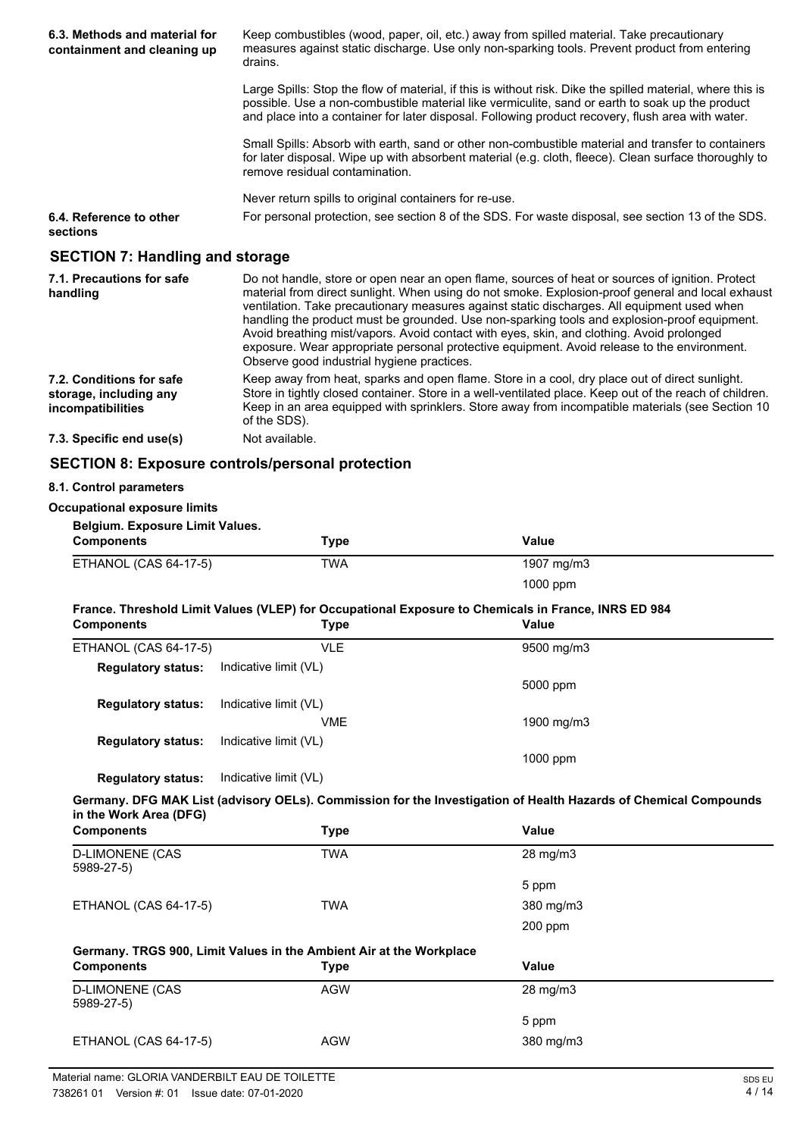| 6.3. Methods and material for<br>containment and cleaning up | Keep combustibles (wood, paper, oil, etc.) away from spilled material. Take precautionary<br>measures against static discharge. Use only non-sparking tools. Prevent product from entering<br>drains.                                                                                                                                                                                                                                                                                                                                                                                                                                          |
|--------------------------------------------------------------|------------------------------------------------------------------------------------------------------------------------------------------------------------------------------------------------------------------------------------------------------------------------------------------------------------------------------------------------------------------------------------------------------------------------------------------------------------------------------------------------------------------------------------------------------------------------------------------------------------------------------------------------|
|                                                              | Large Spills: Stop the flow of material, if this is without risk. Dike the spilled material, where this is<br>possible. Use a non-combustible material like vermiculite, sand or earth to soak up the product<br>and place into a container for later disposal. Following product recovery, flush area with water.                                                                                                                                                                                                                                                                                                                             |
|                                                              | Small Spills: Absorb with earth, sand or other non-combustible material and transfer to containers<br>for later disposal. Wipe up with absorbent material (e.g. cloth, fleece). Clean surface thoroughly to<br>remove residual contamination.                                                                                                                                                                                                                                                                                                                                                                                                  |
|                                                              | Never return spills to original containers for re-use.                                                                                                                                                                                                                                                                                                                                                                                                                                                                                                                                                                                         |
| 6.4. Reference to other<br>sections                          | For personal protection, see section 8 of the SDS. For waste disposal, see section 13 of the SDS.                                                                                                                                                                                                                                                                                                                                                                                                                                                                                                                                              |
| <b>SECTION 7: Handling and storage</b>                       |                                                                                                                                                                                                                                                                                                                                                                                                                                                                                                                                                                                                                                                |
| 7.1. Precautions for safe<br>handling                        | Do not handle, store or open near an open flame, sources of heat or sources of ignition. Protect<br>material from direct sunlight. When using do not smoke. Explosion-proof general and local exhaust<br>ventilation. Take precautionary measures against static discharges. All equipment used when<br>handling the product must be grounded. Use non-sparking tools and explosion-proof equipment.<br>Avoid breathing mist/vapors. Avoid contact with eyes, skin, and clothing. Avoid prolonged<br>exposure. Wear appropriate personal protective equipment. Avoid release to the environment.<br>Observe good industrial hygiene practices. |
| 7.2. Conditions for safe                                     | Keep away from heat, sparks and open flame. Store in a cool, dry place out of direct sunlight.                                                                                                                                                                                                                                                                                                                                                                                                                                                                                                                                                 |

Keep away from heat, sparks and open flame. Store in a cool, dry place out of direct sunlight. Store in tightly closed container. Store in a well-ventilated place. Keep out of the reach of children. Keep in an area equipped with sprinklers. Store away from incompatible materials (see Section 10 of the SDS). **7.2. Conditions for safe storage, including any incompatibilities 7.3. Specific end use(s)** Not available.

# **SECTION 8: Exposure controls/personal protection**

#### **8.1. Control parameters**

#### **Occupational exposure limits**

#### **Belgium. Exposure Limit Values.**

| Components            | Type | Value      |
|-----------------------|------|------------|
| ETHANOL (CAS 64-17-5) | TWA  | 1907 mg/m3 |
|                       |      | $1000$ ppm |

# **France. Threshold Limit Values (VLEP) for Occupational Exposure to Chemicals in France, INRS ED 984**

| Components                | <b>Type</b>           | Value      |  |
|---------------------------|-----------------------|------------|--|
| ETHANOL (CAS 64-17-5)     | <b>VLE</b>            | 9500 mg/m3 |  |
| <b>Regulatory status:</b> | Indicative limit (VL) |            |  |
|                           |                       | 5000 ppm   |  |
| <b>Regulatory status:</b> | Indicative limit (VL) |            |  |
|                           | <b>VME</b>            | 1900 mg/m3 |  |
| <b>Requiatory status:</b> | Indicative limit (VL) |            |  |
|                           |                       | $1000$ ppm |  |
| <b>Regulatory status:</b> | Indicative limit (VL) |            |  |

#### **Germany. DFG MAK List (advisory OELs). Commission for the Investigation of Health Hazards of Chemical Compounds in the Work Area (DFG)**

| <b>Components</b>                                                   | <b>Type</b> | <b>Value</b>      |  |
|---------------------------------------------------------------------|-------------|-------------------|--|
| <b>D-LIMONENE (CAS</b><br>5989-27-5)                                | <b>TWA</b>  | $28 \text{ mg/m}$ |  |
|                                                                     |             | 5 ppm             |  |
| ETHANOL (CAS 64-17-5)                                               | <b>TWA</b>  | 380 mg/m3         |  |
|                                                                     |             | 200 ppm           |  |
| Germany. TRGS 900, Limit Values in the Ambient Air at the Workplace |             |                   |  |
|                                                                     |             |                   |  |
| <b>Components</b>                                                   | <b>Type</b> | <b>Value</b>      |  |
| <b>D-LIMONENE (CAS</b><br>5989-27-5)                                | <b>AGW</b>  | $28 \text{ mg/m}$ |  |
|                                                                     |             | 5 ppm             |  |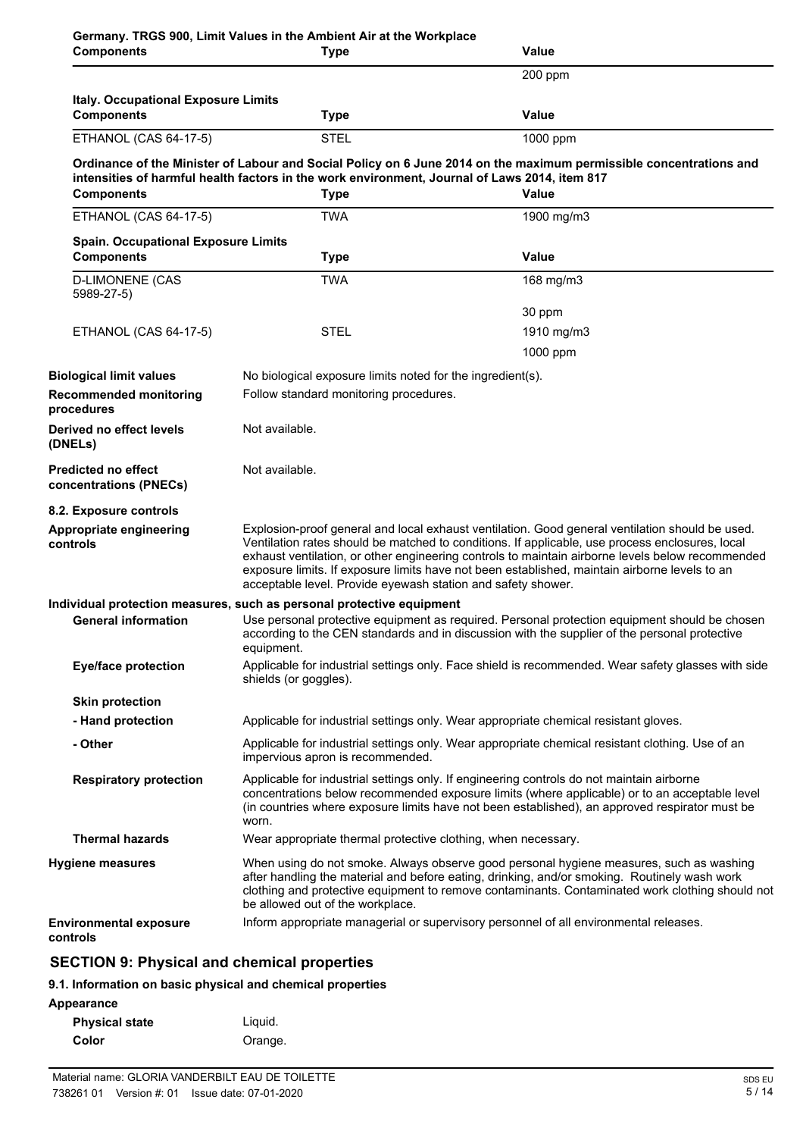| <b>Components</b>                                    | <b>Type</b>                                                                                                                                                                                                                                                                                                                                                                                                                                                             | Value                                                                                                                                                                                          |  |
|------------------------------------------------------|-------------------------------------------------------------------------------------------------------------------------------------------------------------------------------------------------------------------------------------------------------------------------------------------------------------------------------------------------------------------------------------------------------------------------------------------------------------------------|------------------------------------------------------------------------------------------------------------------------------------------------------------------------------------------------|--|
|                                                      |                                                                                                                                                                                                                                                                                                                                                                                                                                                                         | 200 ppm                                                                                                                                                                                        |  |
| Italy. Occupational Exposure Limits                  |                                                                                                                                                                                                                                                                                                                                                                                                                                                                         |                                                                                                                                                                                                |  |
| <b>Components</b>                                    | <b>Type</b>                                                                                                                                                                                                                                                                                                                                                                                                                                                             | <b>Value</b>                                                                                                                                                                                   |  |
| ETHANOL (CAS 64-17-5)                                | <b>STEL</b>                                                                                                                                                                                                                                                                                                                                                                                                                                                             | 1000 ppm                                                                                                                                                                                       |  |
| <b>Components</b>                                    | intensities of harmful health factors in the work environment, Journal of Laws 2014, item 817<br><b>Type</b>                                                                                                                                                                                                                                                                                                                                                            | Ordinance of the Minister of Labour and Social Policy on 6 June 2014 on the maximum permissible concentrations and<br>Value                                                                    |  |
| ETHANOL (CAS 64-17-5)                                | <b>TWA</b>                                                                                                                                                                                                                                                                                                                                                                                                                                                              | 1900 mg/m3                                                                                                                                                                                     |  |
| <b>Spain. Occupational Exposure Limits</b>           |                                                                                                                                                                                                                                                                                                                                                                                                                                                                         |                                                                                                                                                                                                |  |
| <b>Components</b>                                    | <b>Type</b>                                                                                                                                                                                                                                                                                                                                                                                                                                                             | <b>Value</b>                                                                                                                                                                                   |  |
| <b>D-LIMONENE (CAS</b><br>5989-27-5)                 | <b>TWA</b>                                                                                                                                                                                                                                                                                                                                                                                                                                                              | 168 mg/m3                                                                                                                                                                                      |  |
|                                                      |                                                                                                                                                                                                                                                                                                                                                                                                                                                                         | 30 ppm                                                                                                                                                                                         |  |
| ETHANOL (CAS 64-17-5)                                | <b>STEL</b>                                                                                                                                                                                                                                                                                                                                                                                                                                                             | 1910 mg/m3                                                                                                                                                                                     |  |
|                                                      |                                                                                                                                                                                                                                                                                                                                                                                                                                                                         | 1000 ppm                                                                                                                                                                                       |  |
| <b>Biological limit values</b>                       | No biological exposure limits noted for the ingredient(s).                                                                                                                                                                                                                                                                                                                                                                                                              |                                                                                                                                                                                                |  |
| <b>Recommended monitoring</b><br>procedures          | Follow standard monitoring procedures.                                                                                                                                                                                                                                                                                                                                                                                                                                  |                                                                                                                                                                                                |  |
| Derived no effect levels<br>(DNELs)                  | Not available.                                                                                                                                                                                                                                                                                                                                                                                                                                                          |                                                                                                                                                                                                |  |
| <b>Predicted no effect</b><br>concentrations (PNECs) | Not available.                                                                                                                                                                                                                                                                                                                                                                                                                                                          |                                                                                                                                                                                                |  |
| 8.2. Exposure controls                               |                                                                                                                                                                                                                                                                                                                                                                                                                                                                         |                                                                                                                                                                                                |  |
| Appropriate engineering<br>controls                  | Explosion-proof general and local exhaust ventilation. Good general ventilation should be used.<br>Ventilation rates should be matched to conditions. If applicable, use process enclosures, local<br>exhaust ventilation, or other engineering controls to maintain airborne levels below recommended<br>exposure limits. If exposure limits have not been established, maintain airborne levels to an<br>acceptable level. Provide eyewash station and safety shower. |                                                                                                                                                                                                |  |
|                                                      | Individual protection measures, such as personal protective equipment                                                                                                                                                                                                                                                                                                                                                                                                   |                                                                                                                                                                                                |  |
| <b>General information</b>                           | equipment.                                                                                                                                                                                                                                                                                                                                                                                                                                                              | Use personal protective equipment as required. Personal protection equipment should be chosen<br>according to the CEN standards and in discussion with the supplier of the personal protective |  |
| <b>Eye/face protection</b>                           | Applicable for industrial settings only. Face shield is recommended. Wear safety glasses with side<br>shields (or goggles).                                                                                                                                                                                                                                                                                                                                             |                                                                                                                                                                                                |  |
| <b>Skin protection</b>                               |                                                                                                                                                                                                                                                                                                                                                                                                                                                                         |                                                                                                                                                                                                |  |
| - Hand protection                                    |                                                                                                                                                                                                                                                                                                                                                                                                                                                                         | Applicable for industrial settings only. Wear appropriate chemical resistant gloves.                                                                                                           |  |
| - Other                                              | impervious apron is recommended.                                                                                                                                                                                                                                                                                                                                                                                                                                        | Applicable for industrial settings only. Wear appropriate chemical resistant clothing. Use of an                                                                                               |  |
| <b>Respiratory protection</b>                        | Applicable for industrial settings only. If engineering controls do not maintain airborne<br>concentrations below recommended exposure limits (where applicable) or to an acceptable level<br>(in countries where exposure limits have not been established), an approved respirator must be<br>worn.                                                                                                                                                                   |                                                                                                                                                                                                |  |
| <b>Thermal hazards</b>                               | Wear appropriate thermal protective clothing, when necessary.                                                                                                                                                                                                                                                                                                                                                                                                           |                                                                                                                                                                                                |  |
| <b>Hygiene measures</b>                              | When using do not smoke. Always observe good personal hygiene measures, such as washing<br>after handling the material and before eating, drinking, and/or smoking. Routinely wash work<br>clothing and protective equipment to remove contaminants. Contaminated work clothing should not<br>be allowed out of the workplace.                                                                                                                                          |                                                                                                                                                                                                |  |
| <b>Environmental exposure</b><br>controls            |                                                                                                                                                                                                                                                                                                                                                                                                                                                                         | Inform appropriate managerial or supervisory personnel of all environmental releases.                                                                                                          |  |
| <b>SECTION 9: Physical and chemical properties</b>   |                                                                                                                                                                                                                                                                                                                                                                                                                                                                         |                                                                                                                                                                                                |  |

# **9.1. Information on basic physical and chemical properties**

**Appearance**

| Liguid. |
|---------|
| Orange. |
|         |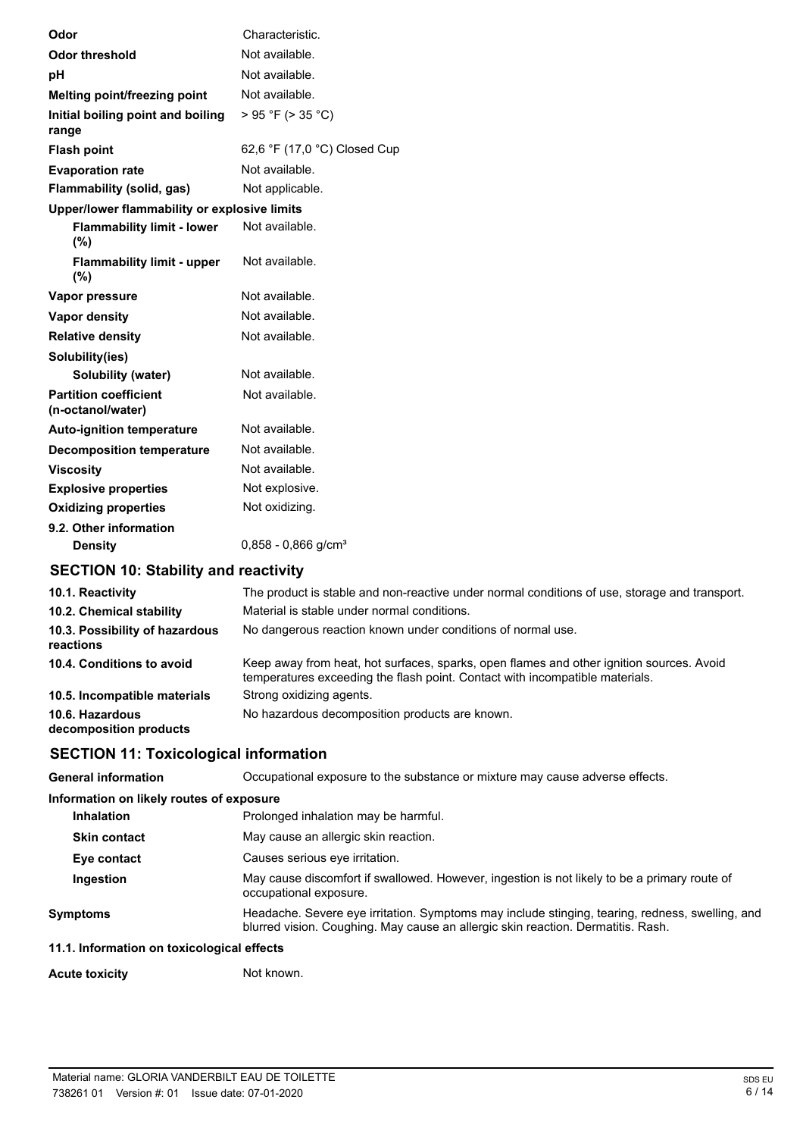| Odor                                              | Characteristic.                                                                               |
|---------------------------------------------------|-----------------------------------------------------------------------------------------------|
| <b>Odor threshold</b>                             | Not available.                                                                                |
| pH                                                | Not available.                                                                                |
| Melting point/freezing point                      | Not available.                                                                                |
| Initial boiling point and boiling<br>range        | > 95 °F (> 35 °C)                                                                             |
| <b>Flash point</b>                                | 62,6 °F (17,0 °C) Closed Cup                                                                  |
| <b>Evaporation rate</b>                           | Not available.                                                                                |
| Flammability (solid, gas)                         | Not applicable.                                                                               |
| Upper/lower flammability or explosive limits      |                                                                                               |
| <b>Flammability limit - lower</b><br>(%)          | Not available.                                                                                |
| <b>Flammability limit - upper</b><br>(%)          | Not available.                                                                                |
| Vapor pressure                                    | Not available.                                                                                |
| <b>Vapor density</b>                              | Not available.                                                                                |
| <b>Relative density</b>                           | Not available.                                                                                |
| Solubility(ies)                                   |                                                                                               |
| Solubility (water)                                | Not available.                                                                                |
| <b>Partition coefficient</b><br>(n-octanol/water) | Not available.                                                                                |
| <b>Auto-ignition temperature</b>                  | Not available.                                                                                |
| <b>Decomposition temperature</b>                  | Not available.                                                                                |
| <b>Viscosity</b>                                  | Not available.                                                                                |
| <b>Explosive properties</b>                       | Not explosive.                                                                                |
| <b>Oxidizing properties</b>                       | Not oxidizing.                                                                                |
| 9.2. Other information                            |                                                                                               |
| <b>Density</b>                                    | $0,858 - 0,866$ g/cm <sup>3</sup>                                                             |
| <b>SECTION 10: Stability and reactivity</b>       |                                                                                               |
| 10.1. Reactivity                                  | The product is stable and non-reactive under normal conditions of use, storage and transport. |
| 10.2. Chemical stability                          | Material is stable under normal conditions.                                                   |

| 10.3. Possibility of hazardous<br>reactions | No dangerous reaction known under conditions of normal use.                                                                                                              |
|---------------------------------------------|--------------------------------------------------------------------------------------------------------------------------------------------------------------------------|
| 10.4. Conditions to avoid                   | Keep away from heat, hot surfaces, sparks, open flames and other ignition sources. Avoid<br>temperatures exceeding the flash point. Contact with incompatible materials. |
| 10.5. Incompatible materials                | Strong oxidizing agents.                                                                                                                                                 |
| 10.6. Hazardous<br>decomposition products   | No hazardous decomposition products are known.                                                                                                                           |

# **SECTION 11: Toxicological information**

**General information** Occupational exposure to the substance or mixture may cause adverse effects.

| Information on likely routes of exposure  |                                                                                                                                                                                     |  |
|-------------------------------------------|-------------------------------------------------------------------------------------------------------------------------------------------------------------------------------------|--|
| <b>Inhalation</b>                         | Prolonged inhalation may be harmful.                                                                                                                                                |  |
| <b>Skin contact</b>                       | May cause an allergic skin reaction.                                                                                                                                                |  |
| Eye contact                               | Causes serious eye irritation.                                                                                                                                                      |  |
| <b>Ingestion</b>                          | May cause discomfort if swallowed. However, ingestion is not likely to be a primary route of<br>occupational exposure.                                                              |  |
| <b>Symptoms</b>                           | Headache. Severe eye irritation. Symptoms may include stinging, tearing, redness, swelling, and<br>blurred vision. Coughing. May cause an allergic skin reaction. Dermatitis. Rash. |  |
| 11.1 Information on toxicological effects |                                                                                                                                                                                     |  |

# **11.1. Information on toxicological effects**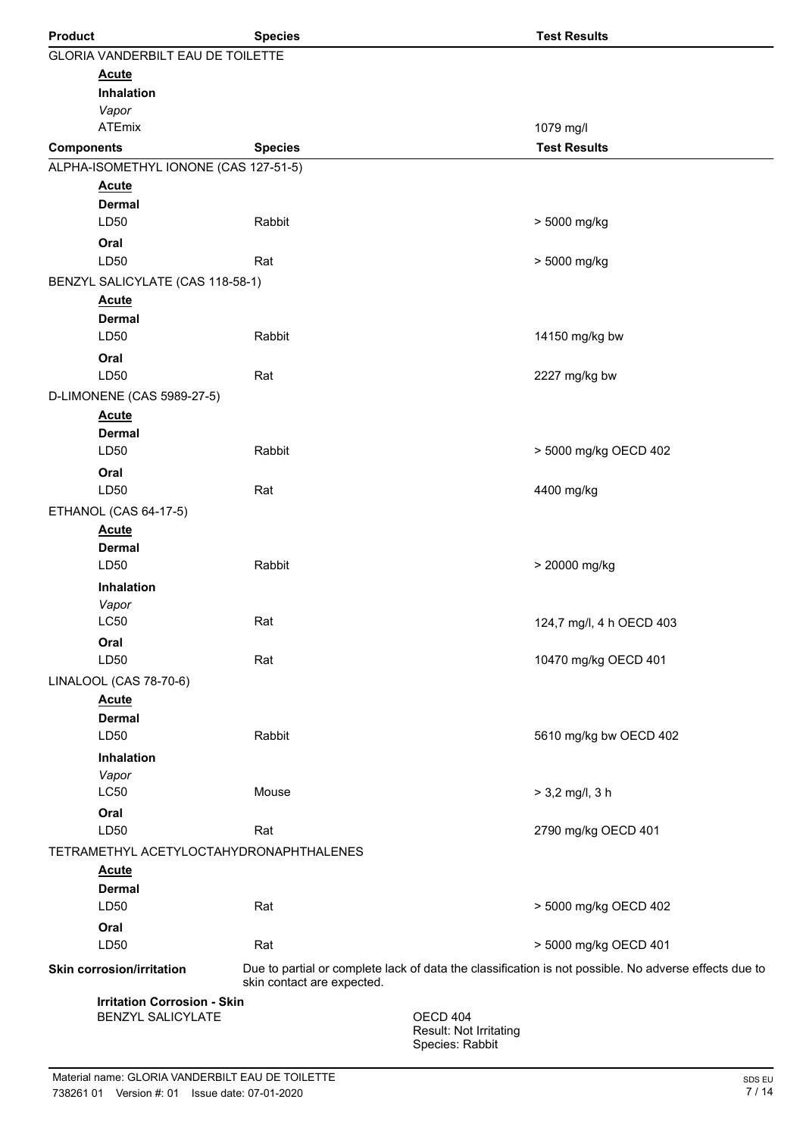| <b>Product</b>    |                                          | <b>Species</b>             |                                                       | <b>Test Results</b>                                                                                   |
|-------------------|------------------------------------------|----------------------------|-------------------------------------------------------|-------------------------------------------------------------------------------------------------------|
|                   | <b>GLORIA VANDERBILT EAU DE TOILETTE</b> |                            |                                                       |                                                                                                       |
|                   | <b>Acute</b>                             |                            |                                                       |                                                                                                       |
|                   | <b>Inhalation</b>                        |                            |                                                       |                                                                                                       |
|                   | Vapor<br><b>ATEmix</b>                   |                            |                                                       | 1079 mg/l                                                                                             |
| <b>Components</b> |                                          | <b>Species</b>             |                                                       | <b>Test Results</b>                                                                                   |
|                   | ALPHA-ISOMETHYL IONONE (CAS 127-51-5)    |                            |                                                       |                                                                                                       |
|                   | <b>Acute</b>                             |                            |                                                       |                                                                                                       |
|                   | <b>Dermal</b>                            |                            |                                                       |                                                                                                       |
|                   | LD50                                     | Rabbit                     |                                                       | > 5000 mg/kg                                                                                          |
|                   | Oral                                     |                            |                                                       |                                                                                                       |
|                   | LD50                                     | Rat                        |                                                       | > 5000 mg/kg                                                                                          |
|                   | BENZYL SALICYLATE (CAS 118-58-1)         |                            |                                                       |                                                                                                       |
|                   | <b>Acute</b>                             |                            |                                                       |                                                                                                       |
|                   | <b>Dermal</b><br>LD50                    | Rabbit                     |                                                       |                                                                                                       |
|                   |                                          |                            |                                                       | 14150 mg/kg bw                                                                                        |
|                   | Oral<br>LD50                             | Rat                        |                                                       | 2227 mg/kg bw                                                                                         |
|                   | D-LIMONENE (CAS 5989-27-5)               |                            |                                                       |                                                                                                       |
|                   | <b>Acute</b>                             |                            |                                                       |                                                                                                       |
|                   | <b>Dermal</b>                            |                            |                                                       |                                                                                                       |
|                   | LD50                                     | Rabbit                     |                                                       | > 5000 mg/kg OECD 402                                                                                 |
|                   | Oral                                     |                            |                                                       |                                                                                                       |
|                   | LD50                                     | Rat                        |                                                       | 4400 mg/kg                                                                                            |
|                   | ETHANOL (CAS 64-17-5)                    |                            |                                                       |                                                                                                       |
|                   | <b>Acute</b>                             |                            |                                                       |                                                                                                       |
|                   | <b>Dermal</b>                            |                            |                                                       |                                                                                                       |
|                   | LD50                                     | Rabbit                     |                                                       | > 20000 mg/kg                                                                                         |
|                   | Inhalation                               |                            |                                                       |                                                                                                       |
|                   | Vapor<br><b>LC50</b>                     | Rat                        |                                                       | 124,7 mg/l, 4 h OECD 403                                                                              |
|                   | Oral                                     |                            |                                                       |                                                                                                       |
|                   | LD50                                     | Rat                        |                                                       | 10470 mg/kg OECD 401                                                                                  |
|                   | LINALOOL (CAS 78-70-6)                   |                            |                                                       |                                                                                                       |
|                   | <b>Acute</b>                             |                            |                                                       |                                                                                                       |
|                   | <b>Dermal</b>                            |                            |                                                       |                                                                                                       |
|                   | LD50                                     | Rabbit                     |                                                       | 5610 mg/kg bw OECD 402                                                                                |
|                   | <b>Inhalation</b>                        |                            |                                                       |                                                                                                       |
|                   | Vapor                                    |                            |                                                       |                                                                                                       |
|                   | LC50                                     | Mouse                      |                                                       | $> 3,2$ mg/l, 3 h                                                                                     |
|                   | Oral<br>LD50                             | Rat                        |                                                       | 2790 mg/kg OECD 401                                                                                   |
|                   | TETRAMETHYL ACETYLOCTAHYDRONAPHTHALENES  |                            |                                                       |                                                                                                       |
|                   | <b>Acute</b>                             |                            |                                                       |                                                                                                       |
|                   | <b>Dermal</b>                            |                            |                                                       |                                                                                                       |
|                   | LD50                                     | Rat                        |                                                       | > 5000 mg/kg OECD 402                                                                                 |
|                   | Oral                                     |                            |                                                       |                                                                                                       |
|                   | LD50                                     | Rat                        |                                                       | > 5000 mg/kg OECD 401                                                                                 |
|                   | <b>Skin corrosion/irritation</b>         | skin contact are expected. |                                                       | Due to partial or complete lack of data the classification is not possible. No adverse effects due to |
|                   | <b>Irritation Corrosion - Skin</b>       |                            |                                                       |                                                                                                       |
|                   | <b>BENZYL SALICYLATE</b>                 |                            | OECD 404<br>Result: Not Irritating<br>Species: Rabbit |                                                                                                       |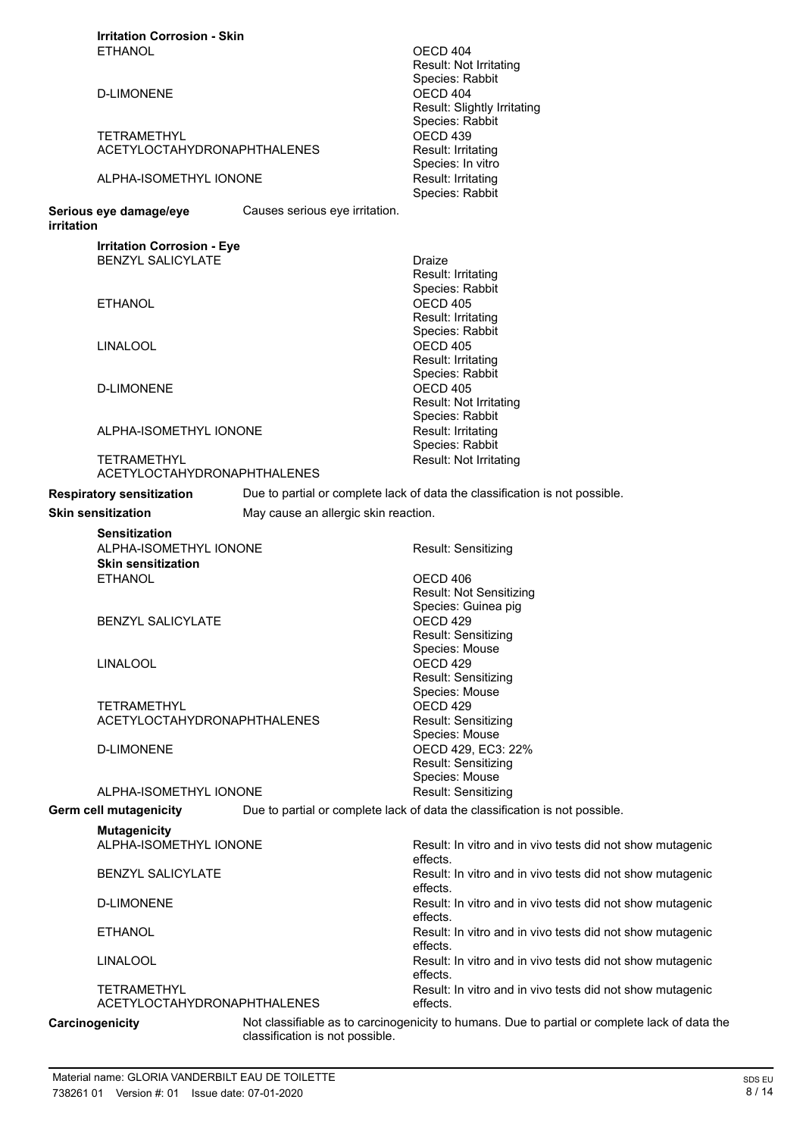| <b>Irritation Corrosion - Skin</b>                                |                                                                                               |
|-------------------------------------------------------------------|-----------------------------------------------------------------------------------------------|
| <b>ETHANOL</b>                                                    | OECD 404                                                                                      |
|                                                                   | Result: Not Irritating                                                                        |
| <b>D-LIMONENE</b>                                                 | Species: Rabbit<br>OECD 404                                                                   |
|                                                                   | Result: Slightly Irritating                                                                   |
|                                                                   | Species: Rabbit                                                                               |
| <b>TETRAMETHYL</b>                                                | OECD <sub>439</sub>                                                                           |
| ACETYLOCTAHYDRONAPHTHALENES                                       | Result: Irritating                                                                            |
|                                                                   | Species: In vitro                                                                             |
| ALPHA-ISOMETHYL IONONE                                            | Result: Irritating                                                                            |
|                                                                   | Species: Rabbit                                                                               |
| Serious eye damage/eye<br>Causes serious eye irritation.          |                                                                                               |
| irritation                                                        |                                                                                               |
| <b>Irritation Corrosion - Eye</b>                                 |                                                                                               |
| <b>BENZYL SALICYLATE</b>                                          | Draize                                                                                        |
|                                                                   | Result: Irritating                                                                            |
|                                                                   | Species: Rabbit                                                                               |
| <b>ETHANOL</b>                                                    | OECD 405                                                                                      |
|                                                                   | Result: Irritating<br>Species: Rabbit                                                         |
| <b>LINALOOL</b>                                                   | OECD 405                                                                                      |
|                                                                   | Result: Irritating                                                                            |
|                                                                   | Species: Rabbit                                                                               |
| <b>D-LIMONENE</b>                                                 | OECD 405                                                                                      |
|                                                                   | Result: Not Irritating                                                                        |
|                                                                   | Species: Rabbit                                                                               |
| ALPHA-ISOMETHYL IONONE                                            | Result: Irritating                                                                            |
|                                                                   | Species: Rabbit                                                                               |
| <b>TETRAMETHYL</b><br><b>ACETYLOCTAHYDRONAPHTHALENES</b>          | Result: Not Irritating                                                                        |
|                                                                   |                                                                                               |
| <b>Respiratory sensitization</b>                                  | Due to partial or complete lack of data the classification is not possible.                   |
| <b>Skin sensitization</b><br>May cause an allergic skin reaction. |                                                                                               |
| <b>Sensitization</b>                                              |                                                                                               |
| ALPHA-ISOMETHYL IONONE                                            | Result: Sensitizing                                                                           |
| <b>Skin sensitization</b>                                         |                                                                                               |
| <b>ETHANOL</b>                                                    | OECD 406                                                                                      |
|                                                                   | Result: Not Sensitizing                                                                       |
| <b>BENZYL SALICYLATE</b>                                          | Species: Guinea pig<br>OECD <sub>429</sub>                                                    |
|                                                                   | Result: Sensitizing                                                                           |
|                                                                   | Species: Mouse                                                                                |
| <b>LINALOOL</b>                                                   | OECD <sub>429</sub>                                                                           |
|                                                                   | Result: Sensitizing                                                                           |
|                                                                   | Species: Mouse                                                                                |
| <b>TETRAMETHYL</b>                                                | OECD <sub>429</sub>                                                                           |
| ACETYLOCTAHYDRONAPHTHALENES                                       | Result: Sensitizing                                                                           |
|                                                                   | Species: Mouse                                                                                |
| <b>D-LIMONENE</b>                                                 | OECD 429, EC3: 22%<br><b>Result: Sensitizing</b>                                              |
|                                                                   | Species: Mouse                                                                                |
| ALPHA-ISOMETHYL IONONE                                            | Result: Sensitizing                                                                           |
| <b>Germ cell mutagenicity</b>                                     | Due to partial or complete lack of data the classification is not possible.                   |
|                                                                   |                                                                                               |
| <b>Mutagenicity</b>                                               |                                                                                               |
| ALPHA-ISOMETHYL IONONE                                            | Result: In vitro and in vivo tests did not show mutagenic<br>effects.                         |
| <b>BENZYL SALICYLATE</b>                                          | Result: In vitro and in vivo tests did not show mutagenic                                     |
|                                                                   | effects.                                                                                      |
| <b>D-LIMONENE</b>                                                 | Result: In vitro and in vivo tests did not show mutagenic                                     |
|                                                                   | effects.                                                                                      |
| <b>ETHANOL</b>                                                    | Result: In vitro and in vivo tests did not show mutagenic                                     |
|                                                                   | effects.                                                                                      |
| <b>LINALOOL</b>                                                   | Result: In vitro and in vivo tests did not show mutagenic                                     |
|                                                                   | effects.                                                                                      |
| <b>TETRAMETHYL</b><br>ACETYLOCTAHYDRONAPHTHALENES                 | Result: In vitro and in vivo tests did not show mutagenic<br>effects.                         |
|                                                                   |                                                                                               |
| Carcinogenicity<br>classification is not possible.                | Not classifiable as to carcinogenicity to humans. Due to partial or complete lack of data the |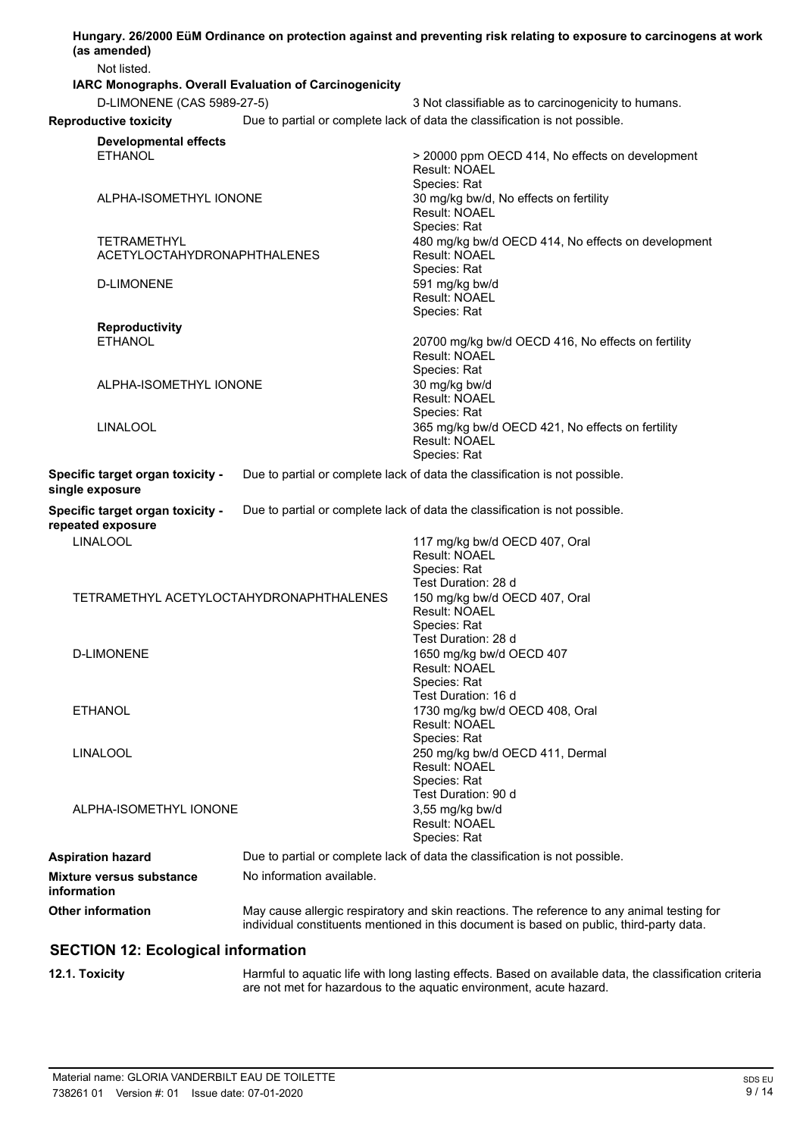| (as amended)                                                 |                                                        | Hungary. 26/2000 EüM Ordinance on protection against and preventing risk relating to exposure to carcinogens at work                                                                   |
|--------------------------------------------------------------|--------------------------------------------------------|----------------------------------------------------------------------------------------------------------------------------------------------------------------------------------------|
| Not listed.                                                  |                                                        |                                                                                                                                                                                        |
|                                                              | IARC Monographs. Overall Evaluation of Carcinogenicity |                                                                                                                                                                                        |
| D-LIMONENE (CAS 5989-27-5)                                   |                                                        | 3 Not classifiable as to carcinogenicity to humans.                                                                                                                                    |
| <b>Reproductive toxicity</b>                                 |                                                        | Due to partial or complete lack of data the classification is not possible.                                                                                                            |
| <b>Developmental effects</b><br><b>ETHANOL</b>               |                                                        | > 20000 ppm OECD 414, No effects on development<br><b>Result: NOAEL</b><br>Species: Rat                                                                                                |
| ALPHA-ISOMETHYL IONONE                                       |                                                        | 30 mg/kg bw/d, No effects on fertility<br>Result: NOAEL<br>Species: Rat                                                                                                                |
| TETRAMETHYL<br>ACETYLOCTAHYDRONAPHTHALENES                   |                                                        | 480 mg/kg bw/d OECD 414, No effects on development<br><b>Result: NOAEL</b><br>Species: Rat                                                                                             |
| <b>D-LIMONENE</b>                                            |                                                        | 591 mg/kg bw/d<br><b>Result: NOAEL</b><br>Species: Rat                                                                                                                                 |
| <b>Reproductivity</b>                                        |                                                        |                                                                                                                                                                                        |
| <b>ETHANOL</b><br>ALPHA-ISOMETHYL IONONE                     |                                                        | 20700 mg/kg bw/d OECD 416, No effects on fertility<br>Result: NOAEL<br>Species: Rat<br>30 mg/kg bw/d<br><b>Result: NOAEL</b>                                                           |
| <b>LINALOOL</b>                                              |                                                        | Species: Rat<br>365 mg/kg bw/d OECD 421, No effects on fertility<br><b>Result: NOAEL</b><br>Species: Rat                                                                               |
| Specific target organ toxicity -<br>single exposure          |                                                        | Due to partial or complete lack of data the classification is not possible.                                                                                                            |
| Specific target organ toxicity -<br>repeated exposure        |                                                        | Due to partial or complete lack of data the classification is not possible.                                                                                                            |
| <b>LINALOOL</b>                                              |                                                        | 117 mg/kg bw/d OECD 407, Oral<br>Result: NOAEL<br>Species: Rat<br>Test Duration: 28 d                                                                                                  |
| TETRAMETHYL ACETYLOCTAHYDRONAPHTHALENES<br><b>D-LIMONENE</b> |                                                        | 150 mg/kg bw/d OECD 407, Oral<br>Result: NOAEL<br>Species: Rat<br>Test Duration: 28 d                                                                                                  |
|                                                              |                                                        | 1650 mg/kg bw/d OECD 407<br><b>Result: NOAEL</b><br>Species: Rat                                                                                                                       |
| <b>ETHANOL</b>                                               |                                                        | Test Duration: 16 d<br>1730 mg/kg bw/d OECD 408, Oral<br><b>Result: NOAEL</b><br>Species: Rat                                                                                          |
| <b>LINALOOL</b>                                              |                                                        | 250 mg/kg bw/d OECD 411, Dermal<br><b>Result: NOAEL</b><br>Species: Rat<br>Test Duration: 90 d                                                                                         |
| ALPHA-ISOMETHYL IONONE                                       |                                                        | 3,55 mg/kg bw/d<br><b>Result: NOAEL</b><br>Species: Rat                                                                                                                                |
| <b>Aspiration hazard</b>                                     |                                                        | Due to partial or complete lack of data the classification is not possible.                                                                                                            |
| Mixture versus substance<br>information                      | No information available.                              |                                                                                                                                                                                        |
| <b>Other information</b>                                     |                                                        | May cause allergic respiratory and skin reactions. The reference to any animal testing for<br>individual constituents mentioned in this document is based on public, third-party data. |
| <b>SECTION 12: Ecological information</b>                    |                                                        |                                                                                                                                                                                        |

**12.1. Toxicity highcarry in the Harmful to aquatic life with long lasting effects. Based on available data, the classification criteria** are not met for hazardous to the aquatic environment, acute hazard.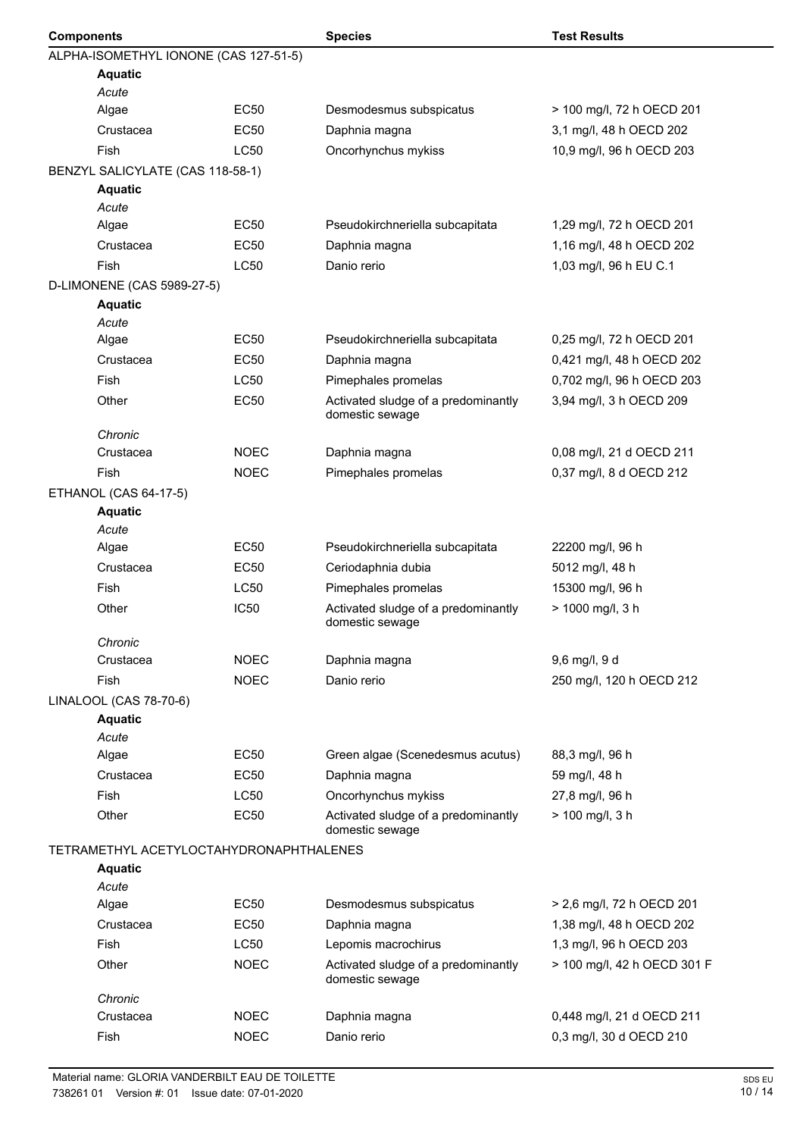| <b>Components</b> |                                         |                  | <b>Species</b>                                         | <b>Test Results</b>         |  |
|-------------------|-----------------------------------------|------------------|--------------------------------------------------------|-----------------------------|--|
|                   | ALPHA-ISOMETHYL IONONE (CAS 127-51-5)   |                  |                                                        |                             |  |
|                   | <b>Aquatic</b>                          |                  |                                                        |                             |  |
|                   | Acute                                   |                  |                                                        |                             |  |
|                   | Algae                                   | <b>EC50</b>      | Desmodesmus subspicatus                                | > 100 mg/l, 72 h OECD 201   |  |
|                   | Crustacea                               | EC50             | Daphnia magna                                          | 3,1 mg/l, 48 h OECD 202     |  |
|                   | Fish                                    | <b>LC50</b>      | Oncorhynchus mykiss                                    | 10,9 mg/l, 96 h OECD 203    |  |
|                   | BENZYL SALICYLATE (CAS 118-58-1)        |                  |                                                        |                             |  |
|                   | <b>Aquatic</b>                          |                  |                                                        |                             |  |
|                   | Acute                                   |                  |                                                        |                             |  |
|                   | Algae                                   | <b>EC50</b>      | Pseudokirchneriella subcapitata                        | 1,29 mg/l, 72 h OECD 201    |  |
|                   | Crustacea                               | <b>EC50</b>      | Daphnia magna                                          | 1,16 mg/l, 48 h OECD 202    |  |
|                   | Fish                                    | <b>LC50</b>      | Danio rerio                                            | 1,03 mg/l, 96 h EU C.1      |  |
|                   | D-LIMONENE (CAS 5989-27-5)              |                  |                                                        |                             |  |
|                   | <b>Aquatic</b><br>Acute                 |                  |                                                        |                             |  |
|                   | Algae                                   | <b>EC50</b>      | Pseudokirchneriella subcapitata                        | 0,25 mg/l, 72 h OECD 201    |  |
|                   | Crustacea                               | <b>EC50</b>      | Daphnia magna                                          | 0,421 mg/l, 48 h OECD 202   |  |
|                   | Fish                                    | <b>LC50</b>      | Pimephales promelas                                    | 0,702 mg/l, 96 h OECD 203   |  |
|                   |                                         |                  |                                                        |                             |  |
|                   | Other                                   | <b>EC50</b>      | Activated sludge of a predominantly<br>domestic sewage | 3,94 mg/l, 3 h OECD 209     |  |
|                   | Chronic                                 |                  |                                                        |                             |  |
|                   | Crustacea                               | <b>NOEC</b>      | Daphnia magna                                          | 0,08 mg/l, 21 d OECD 211    |  |
|                   | <b>Fish</b>                             | <b>NOEC</b>      | Pimephales promelas                                    | 0,37 mg/l, 8 d OECD 212     |  |
|                   | ETHANOL (CAS 64-17-5)<br><b>Aquatic</b> |                  |                                                        |                             |  |
|                   | Acute                                   |                  |                                                        |                             |  |
|                   | Algae                                   | EC <sub>50</sub> | Pseudokirchneriella subcapitata                        | 22200 mg/l, 96 h            |  |
|                   | Crustacea                               | <b>EC50</b>      | Ceriodaphnia dubia                                     | 5012 mg/l, 48 h             |  |
|                   | <b>Fish</b>                             | LC50             | Pimephales promelas                                    | 15300 mg/l, 96 h            |  |
|                   | Other                                   | <b>IC50</b>      | Activated sludge of a predominantly<br>domestic sewage | > 1000 mg/l, 3 h            |  |
|                   | Chronic                                 |                  |                                                        |                             |  |
|                   | Crustacea                               | <b>NOEC</b>      | Daphnia magna                                          | 9,6 mg/l, 9 d               |  |
|                   | <b>Fish</b>                             | <b>NOEC</b>      | Danio rerio                                            | 250 mg/l, 120 h OECD 212    |  |
|                   | LINALOOL (CAS 78-70-6)                  |                  |                                                        |                             |  |
|                   | <b>Aquatic</b>                          |                  |                                                        |                             |  |
|                   | Acute                                   |                  |                                                        |                             |  |
|                   | Algae                                   | <b>EC50</b>      | Green algae (Scenedesmus acutus)                       | 88,3 mg/l, 96 h             |  |
|                   | Crustacea                               | <b>EC50</b>      | Daphnia magna                                          | 59 mg/l, 48 h               |  |
|                   | Fish                                    | <b>LC50</b>      | Oncorhynchus mykiss                                    | 27,8 mg/l, 96 h             |  |
|                   | Other                                   | <b>EC50</b>      | Activated sludge of a predominantly<br>domestic sewage | $> 100$ mg/l, 3 h           |  |
|                   | TETRAMETHYL ACETYLOCTAHYDRONAPHTHALENES |                  |                                                        |                             |  |
|                   | <b>Aquatic</b>                          |                  |                                                        |                             |  |
|                   | Acute                                   |                  |                                                        |                             |  |
|                   | Algae                                   | <b>EC50</b>      | Desmodesmus subspicatus                                | > 2,6 mg/l, 72 h OECD 201   |  |
|                   | Crustacea                               | <b>EC50</b>      | Daphnia magna                                          | 1,38 mg/l, 48 h OECD 202    |  |
|                   | Fish                                    | LC50             | Lepomis macrochirus                                    | 1,3 mg/l, 96 h OECD 203     |  |
|                   | Other                                   | <b>NOEC</b>      | Activated sludge of a predominantly<br>domestic sewage | > 100 mg/l, 42 h OECD 301 F |  |
|                   | Chronic                                 |                  |                                                        |                             |  |
|                   | Crustacea                               | <b>NOEC</b>      | Daphnia magna                                          | 0,448 mg/l, 21 d OECD 211   |  |
|                   | Fish                                    | <b>NOEC</b>      | Danio rerio                                            | 0,3 mg/l, 30 d OECD 210     |  |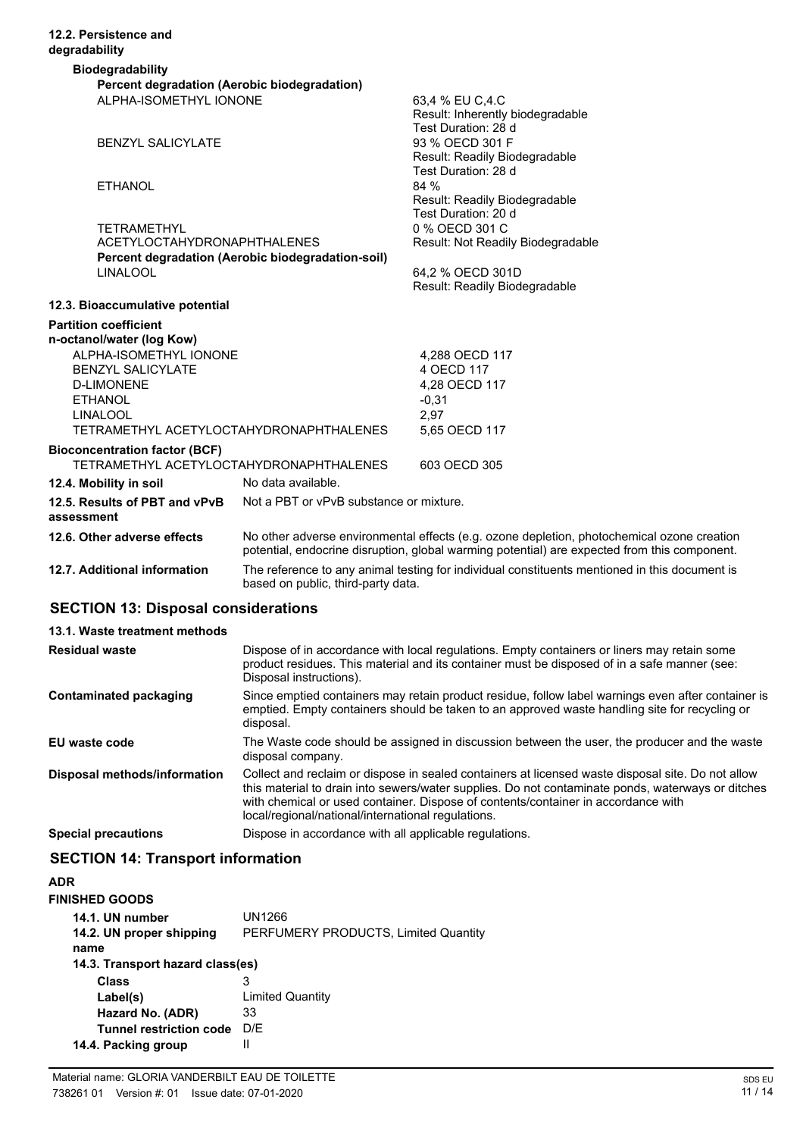| 12.2. Persistence and<br>degradability                                          |                                                   |                                                                                                                                                                                            |
|---------------------------------------------------------------------------------|---------------------------------------------------|--------------------------------------------------------------------------------------------------------------------------------------------------------------------------------------------|
| <b>Biodegradability</b>                                                         |                                                   |                                                                                                                                                                                            |
| Percent degradation (Aerobic biodegradation)                                    |                                                   |                                                                                                                                                                                            |
| ALPHA-ISOMETHYL IONONE                                                          |                                                   | 63,4 % EU C,4.C<br>Result: Inherently biodegradable<br>Test Duration: 28 d                                                                                                                 |
| <b>BENZYL SALICYLATE</b>                                                        |                                                   | 93 % OECD 301 F<br>Result: Readily Biodegradable<br>Test Duration: 28 d                                                                                                                    |
| <b>ETHANOL</b>                                                                  |                                                   | 84 %<br>Result: Readily Biodegradable<br>Test Duration: 20 d                                                                                                                               |
| <b>TETRAMETHYL</b>                                                              |                                                   | 0 % OECD 301 C                                                                                                                                                                             |
| <b>ACETYLOCTAHYDRONAPHTHALENES</b>                                              |                                                   | Result: Not Readily Biodegradable                                                                                                                                                          |
|                                                                                 | Percent degradation (Aerobic biodegradation-soil) |                                                                                                                                                                                            |
| <b>LINALOOL</b>                                                                 |                                                   | 64,2 % OECD 301D                                                                                                                                                                           |
|                                                                                 |                                                   | Result: Readily Biodegradable                                                                                                                                                              |
| 12.3. Bioaccumulative potential                                                 |                                                   |                                                                                                                                                                                            |
| <b>Partition coefficient</b><br>n-octanol/water (log Kow)                       |                                                   |                                                                                                                                                                                            |
| ALPHA-ISOMETHYL IONONE                                                          |                                                   | 4,288 OECD 117                                                                                                                                                                             |
| <b>BENZYL SALICYLATE</b>                                                        |                                                   | 4 OECD 117                                                                                                                                                                                 |
| <b>D-LIMONENE</b>                                                               |                                                   | 4,28 OECD 117                                                                                                                                                                              |
| <b>ETHANOL</b>                                                                  |                                                   | $-0,31$                                                                                                                                                                                    |
| <b>LINALOOL</b>                                                                 |                                                   | 2,97                                                                                                                                                                                       |
| TETRAMETHYL ACETYLOCTAHYDRONAPHTHALENES                                         |                                                   | 5,65 OECD 117                                                                                                                                                                              |
| <b>Bioconcentration factor (BCF)</b><br>TETRAMETHYL ACETYLOCTAHYDRONAPHTHALENES |                                                   | 603 OECD 305                                                                                                                                                                               |
| 12.4. Mobility in soil                                                          | No data available.                                |                                                                                                                                                                                            |
| 12.5. Results of PBT and vPvB<br>assessment                                     | Not a PBT or vPvB substance or mixture.           |                                                                                                                                                                                            |
| 12.6. Other adverse effects                                                     |                                                   | No other adverse environmental effects (e.g. ozone depletion, photochemical ozone creation<br>potential, endocrine disruption, global warming potential) are expected from this component. |
| 12.7. Additional information                                                    |                                                   | The reference to any animal testing for individual constituents mentioned in this document is                                                                                              |

based on public, third-party data.

# **SECTION 13: Disposal considerations**

| 13.1. Waste treatment methods |                                                                                                                                                                                                                                                                                                                                                   |
|-------------------------------|---------------------------------------------------------------------------------------------------------------------------------------------------------------------------------------------------------------------------------------------------------------------------------------------------------------------------------------------------|
| <b>Residual waste</b>         | Dispose of in accordance with local regulations. Empty containers or liners may retain some<br>product residues. This material and its container must be disposed of in a safe manner (see:<br>Disposal instructions).                                                                                                                            |
| Contaminated packaging        | Since emptied containers may retain product residue, follow label warnings even after container is<br>emptied. Empty containers should be taken to an approved waste handling site for recycling or<br>disposal.                                                                                                                                  |
| EU waste code                 | The Waste code should be assigned in discussion between the user, the producer and the waste<br>disposal company.                                                                                                                                                                                                                                 |
| Disposal methods/information  | Collect and reclaim or dispose in sealed containers at licensed waste disposal site. Do not allow<br>this material to drain into sewers/water supplies. Do not contaminate ponds, waterways or ditches<br>with chemical or used container. Dispose of contents/container in accordance with<br>local/regional/national/international regulations. |
| <b>Special precautions</b>    | Dispose in accordance with all applicable regulations.                                                                                                                                                                                                                                                                                            |

# **SECTION 14: Transport information**

| ADR                              |                                      |
|----------------------------------|--------------------------------------|
| <b>FINISHED GOODS</b>            |                                      |
| 14.1. UN number                  | UN1266                               |
| 14.2. UN proper shipping         | PERFUMERY PRODUCTS, Limited Quantity |
| name                             |                                      |
| 14.3. Transport hazard class(es) |                                      |
| Class                            | 3                                    |
| Label(s)                         | <b>Limited Quantity</b>              |
| Hazard No. (ADR)                 | 33                                   |
| <b>Tunnel restriction code</b>   | D/F                                  |
| 14.4. Packing group              |                                      |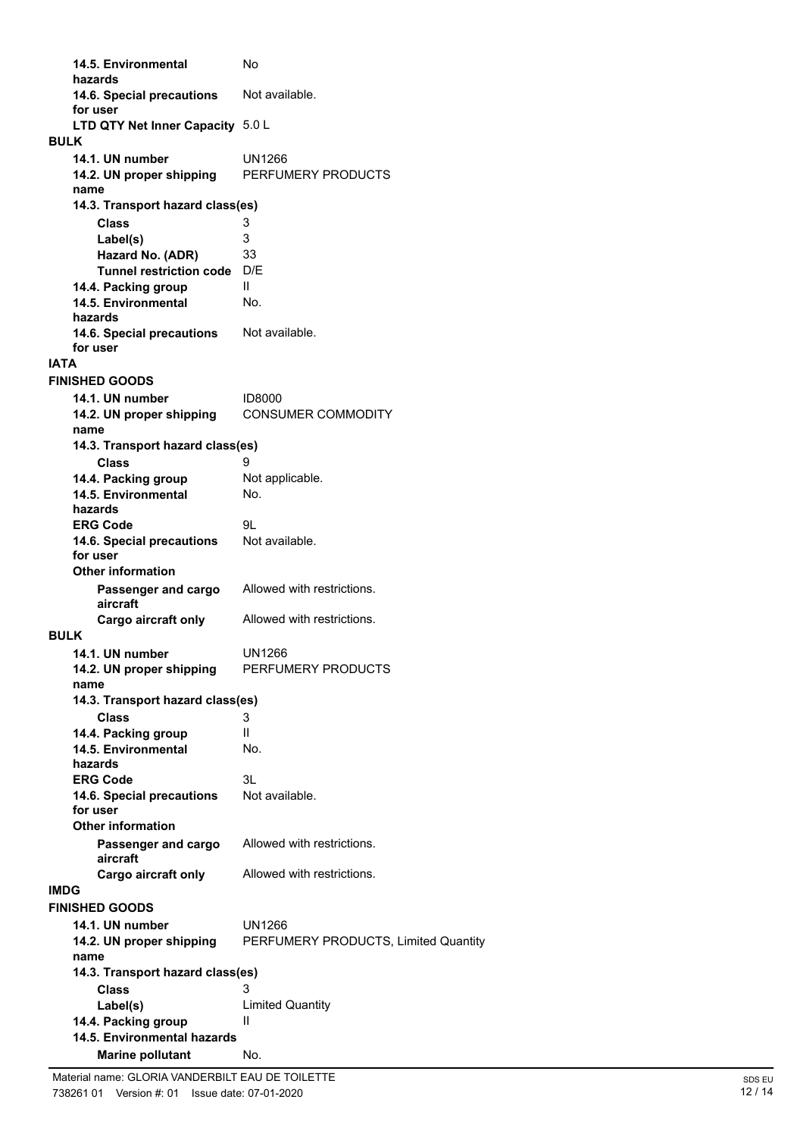**14.5. Environmental** No **hazards** 14.6. Special precautions Not available. **for user LTD QTY Net Inner Capacity** 5.0 L **14.1. UN number** UN1266 **BULK 14.2. UN proper shipping** PERFUMERY PRODUCTS **name Class** 3 **14.3. Transport hazard class(es) Label(s)** 3 **Hazard No. (ADR)** 33 **Tunnel restriction code** D/E **14.4. Packing group II 14.5. Environmental** No. **hazards** 14.6. Special precautions Not available. **for user IATA 14.1. UN number** ID8000 **FINISHED GOODS 14.2. UN proper shipping** CONSUMER COMMODITY **name Class** 9 **14.3. Transport hazard class(es)** 14.4. Packing group Not applicable. **14.5. Environmental** No. **hazards ERG Code** 9L<br>**14.6. Special precautions** Not available. **14.6. Special precautions for user Passenger and cargo** Allowed with restrictions. **aircraft Other information Cargo aircraft only** Allowed with restrictions. **14.1. UN number** UN1266 **BULK 14.2. UN proper shipping** PERFUMERY PRODUCTS **name Class** 3 **14.3. Transport hazard class(es) 14.4. Packing group** II **14.5. Environmental** No. **hazards ERG Code** 3L 14.6. Special precautions Not available. **for user Passenger and cargo** Allowed with restrictions. **aircraft Other information Cargo aircraft only** Allowed with restrictions. **IMDG 14.1. UN number** UN1266 **FINISHED GOODS 14.2. UN proper shipping** PERFUMERY PRODUCTS, Limited Quantity **name Class** 3 **14.3. Transport hazard class(es) Label(s)** Limited Quantity **14.4. Packing group** II **Marine pollutant** No. **14.5. Environmental hazards**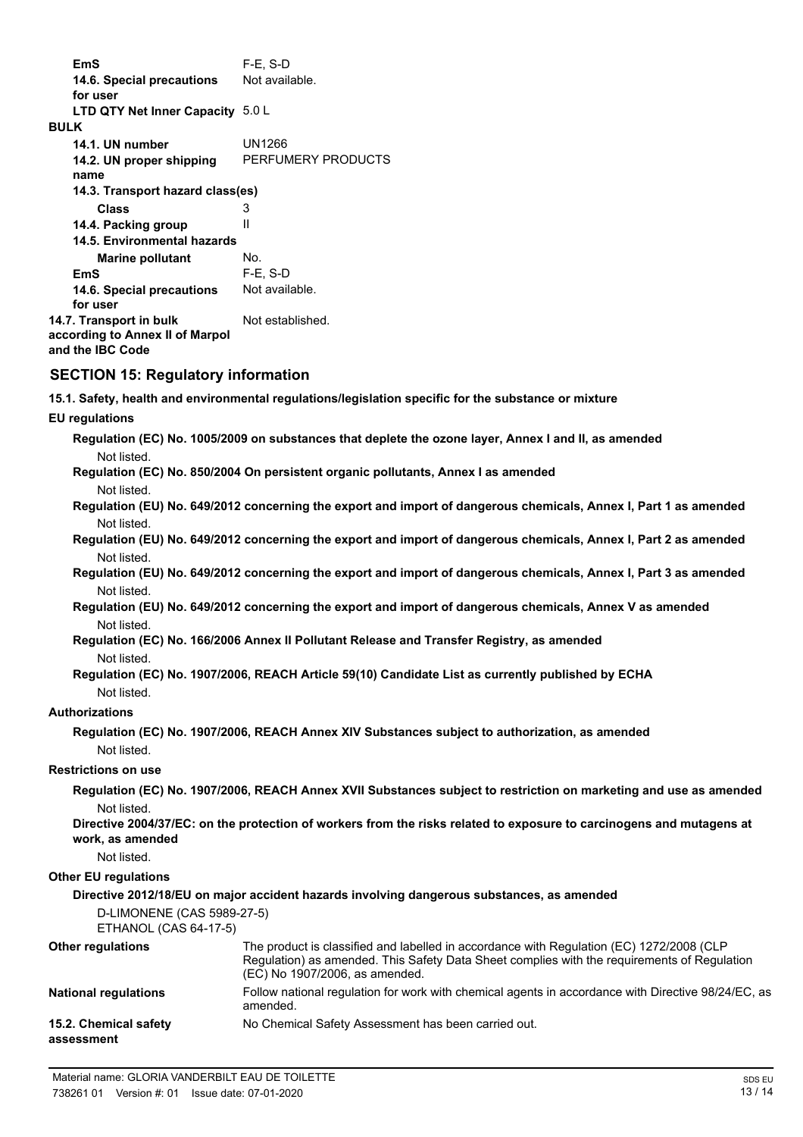**EmS** F-E, S-D 14.6. Special precautions Not available. **for user LTD QTY Net Inner Capacity** 5.0 L **14.1. UN number** UN1266 **BULK 14.2. UN proper shipping** PERFUMERY PRODUCTS **name Class** 3 **14.3. Transport hazard class(es) 14.4. Packing group ll Marine pollutant** No. **14.5. Environmental hazards EmS** F-E, S-D 14.6. Special precautions Not available. **for user 14.7. Transport in bulk** Not established. **according to Annex II of Marpol and the IBC Code**

# **SECTION 15: Regulatory information**

**15.1. Safety, health and environmental regulations/legislation specific for the substance or mixture**

**EU regulations**

**Regulation (EC) No. 1005/2009 on substances that deplete the ozone layer, Annex I and II, as amended** Not listed.

**Regulation (EC) No. 850/2004 On persistent organic pollutants, Annex I as amended** Not listed.

**Regulation (EU) No. 649/2012 concerning the export and import of dangerous chemicals, Annex I, Part 1 as amended** Not listed.

**Regulation (EU) No. 649/2012 concerning the export and import of dangerous chemicals, Annex I, Part 2 as amended** Not listed.

**Regulation (EU) No. 649/2012 concerning the export and import of dangerous chemicals, Annex I, Part 3 as amended** Not listed.

**Regulation (EU) No. 649/2012 concerning the export and import of dangerous chemicals, Annex V as amended** Not listed.

**Regulation (EC) No. 166/2006 Annex II Pollutant Release and Transfer Registry, as amended** Not listed.

**Regulation (EC) No. 1907/2006, REACH Article 59(10) Candidate List as currently published by ECHA** Not listed.

# **Authorizations**

**Regulation (EC) No. 1907/2006, REACH Annex XIV Substances subject to authorization, as amended** Not listed.

# **Restrictions on use**

**Regulation (EC) No. 1907/2006, REACH Annex XVII Substances subject to restriction on marketing and use as amended** Not listed.

**Directive 2004/37/EC: on the protection of workers from the risks related to exposure to carcinogens and mutagens at work, as amended**

Not listed.

### **Other EU regulations**

#### **Directive 2012/18/EU on major accident hazards involving dangerous substances, as amended**

D-LIMONENE (CAS 5989-27-5)

ETHANOL (CAS 64-17-5)

| <b>Other regulations</b>            | The product is classified and labelled in accordance with Regulation (EC) 1272/2008 (CLP<br>Regulation) as amended. This Safety Data Sheet complies with the reguirements of Regulation<br>(EC) No 1907/2006, as amended. |
|-------------------------------------|---------------------------------------------------------------------------------------------------------------------------------------------------------------------------------------------------------------------------|
| <b>National regulations</b>         | Follow national regulation for work with chemical agents in accordance with Directive 98/24/EC, as<br>amended.                                                                                                            |
| 15.2. Chemical safety<br>assessment | No Chemical Safety Assessment has been carried out.                                                                                                                                                                       |